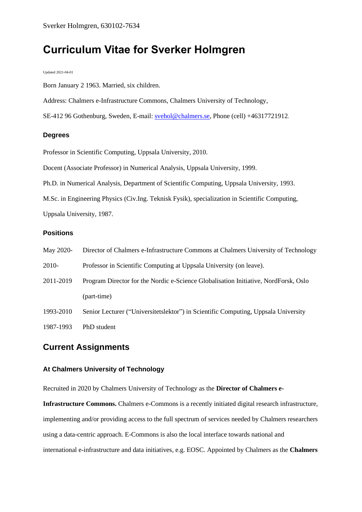# **Curriculum Vitae for Sverker Holmgren**

Updated 2021-04-01

Born January 2 1963. Married, six children.

Address: Chalmers e-Infrastructure Commons, Chalmers University of Technology,

SE-412 96 Gothenburg, Sweden, E-mail: [svehol@chalmers.se,](mailto:svehol@chalmers.se) Phone (cell) +46317721912.

## **Degrees**

Professor in Scientific Computing, Uppsala University, 2010.

Docent (Associate Professor) in Numerical Analysis, Uppsala University, 1999.

Ph.D. in Numerical Analysis, Department of Scientific Computing, Uppsala University, 1993.

M.Sc. in Engineering Physics (Civ.Ing. Teknisk Fysik), specialization in Scientific Computing,

Uppsala University, 1987.

## **Positions**

| May 2020- | Director of Chalmers e-Infrastructure Commons at Chalmers University of Technology  |
|-----------|-------------------------------------------------------------------------------------|
| 2010-     | Professor in Scientific Computing at Uppsala University (on leave).                 |
| 2011-2019 | Program Director for the Nordic e-Science Globalisation Initiative, NordForsk, Oslo |
|           | (part-time)                                                                         |
| 1993-2010 | Senior Lecturer ("Universitetslektor") in Scientific Computing, Uppsala University  |
| 1987-1993 | PhD student                                                                         |

# **Current Assignments**

## **At Chalmers University of Technology**

Recruited in 2020 by Chalmers University of Technology as the **Director of Chalmers e-**

**Infrastructure Commons.** Chalmers e-Commons is a recently initiated digital research infrastructure, implementing and/or providing access to the full spectrum of services needed by Chalmers researchers using a data-centric approach. E-Commons is also the local interface towards national and international e-infrastructure and data initiatives, e.g. EOSC. Appointed by Chalmers as the **Chalmers**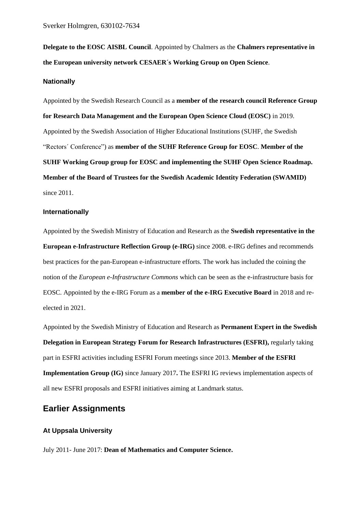**Delegate to the EOSC AISBL Council**. Appointed by Chalmers as the **Chalmers representative in the European university network CESAER´s Working Group on Open Science**.

#### **Nationally**

Appointed by the Swedish Research Council as a **member of the research council Reference Group for Research Data Management and the European Open Science Cloud (EOSC)** in 2019. Appointed by the Swedish Association of Higher Educational Institutions (SUHF, the Swedish "Rectors´ Conference") as **member of the SUHF Reference Group for EOSC**. **Member of the SUHF Working Group group for EOSC and implementing the SUHF Open Science Roadmap. Member of the Board of Trustees for the Swedish Academic Identity Federation (SWAMID)** since 2011.

#### **Internationally**

Appointed by the Swedish Ministry of Education and Research as the **Swedish representative in the European e-Infrastructure Reflection Group (e-IRG)** since 2008. e-IRG defines and recommends best practices for the pan-European e-infrastructure efforts. The work has included the coining the notion of the *European e-Infrastructure Commons* which can be seen as the e-infrastructure basis for EOSC. Appointed by the e-IRG Forum as a **member of the e-IRG Executive Board** in 2018 and reelected in 2021.

Appointed by the Swedish Ministry of Education and Research as **Permanent Expert in the Swedish Delegation in European Strategy Forum for Research Infrastructures (ESFRI), regularly taking** part in ESFRI activities including ESFRI Forum meetings since 2013. **Member of the ESFRI Implementation Group (IG)** since January 2017**.** The ESFRI IG reviews implementation aspects of all new ESFRI proposals and ESFRI initiatives aiming at Landmark status.

# **Earlier Assignments**

## **At Uppsala University**

July 2011- June 2017: **Dean of Mathematics and Computer Science.**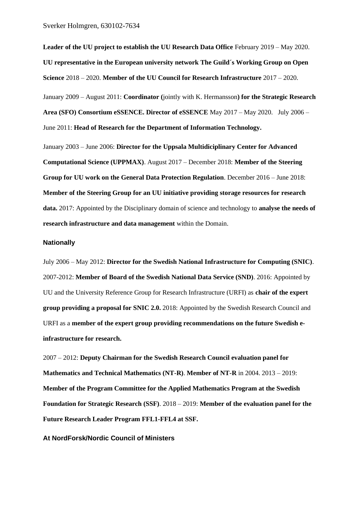Sverker Holmgren, 630102-7634

**Leader of the UU project to establish the UU Research Data Office** February 2019 – May 2020. **UU representative in the European university network The Guild´s Working Group on Open Science** 2018 – 2020. **Member of the UU Council for Research Infrastructure** 2017 – 2020. January 2009 – August 2011: **Coordinator (**jointly with K. Hermansson**) for the Strategic Research Area (SFO) Consortium eSSENCE. Director of eSSENCE** May 2017 – May 2020.July 2006 – June 2011: **Head of Research for the Department of Information Technology.**

January 2003 – June 2006: **Director for the Uppsala Multidiciplinary Center for Advanced Computational Science (UPPMAX)**. August 2017 – December 2018: **Member of the Steering Group for UU work on the General Data Protection Regulation**. December 2016 – June 2018: **Member of the Steering Group for an UU initiative providing storage resources for research data.** 2017: Appointed by the Disciplinary domain of science and technology to **analyse the needs of research infrastructure and data management** within the Domain.

#### **Nationally**

July 2006 – May 2012: **Director for the Swedish National Infrastructure for Computing (SNIC)**. 2007-2012: **Member of Board of the Swedish National Data Service (SND)**. 2016: Appointed by UU and the University Reference Group for Research Infrastructure (URFI) as **chair of the expert group providing a proposal for SNIC 2.0.** 2018: Appointed by the Swedish Research Council and URFI as a **member of the expert group providing recommendations on the future Swedish einfrastructure for research.**

2007 – 2012: **Deputy Chairman for the Swedish Research Council evaluation panel for Mathematics and Technical Mathematics (NT-R)**. **Member of NT-R** in 2004. 2013 – 2019: **Member of the Program Committee for the Applied Mathematics Program at the Swedish Foundation for Strategic Research (SSF)**. 2018 – 2019: **Member of the evaluation panel for the Future Research Leader Program FFL1-FFL4 at SSF.**

#### **At NordForsk/Nordic Council of Ministers**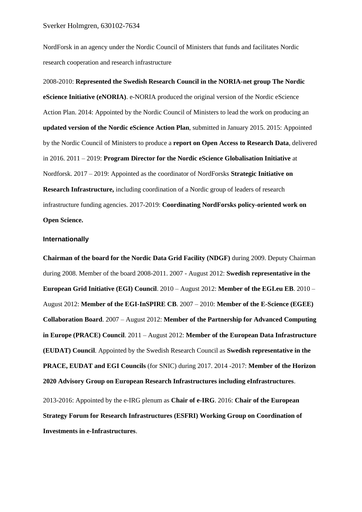NordForsk in an agency under the Nordic Council of Ministers that funds and facilitates Nordic research cooperation and research infrastructure

2008-2010: **Represented the Swedish Research Council in the NORIA-net group The Nordic eScience Initiative (eNORIA)**. e-NORIA produced the original version of the Nordic eScience Action Plan. 2014: Appointed by the Nordic Council of Ministers to lead the work on producing an **updated version of the Nordic eScience Action Plan**, submitted in January 2015. 2015: Appointed by the Nordic Council of Ministers to produce a **report on Open Access to Research Data**, delivered in 2016. 2011 – 2019: **Program Director for the Nordic eScience Globalisation Initiative** at Nordforsk. 2017 – 2019: Appointed as the coordinator of NordForsks **Strategic Initiative on Research Infrastructure,** including coordination of a Nordic group of leaders of research infrastructure funding agencies. 2017-2019: **Coordinating NordForsks policy-oriented work on Open Science.**

#### **Internationally**

**Chairman of the board for the Nordic Data Grid Facility (NDGF)** during 2009. Deputy Chairman during 2008. Member of the board 2008-2011. 2007 - August 2012: **Swedish representative in the European Grid Initiative (EGI) Council**. 2010 – August 2012: **Member of the EGI.eu EB**. 2010 – August 2012: **Member of the EGI-InSPIRE CB**. 2007 – 2010: **Member of the E-Science (EGEE) Collaboration Board**. 2007 – August 2012: **Member of the Partnership for Advanced Computing in Europe (PRACE) Council**. 2011 – August 2012: **Member of the European Data Infrastructure (EUDAT) Council**. Appointed by the Swedish Research Council as **Swedish representative in the PRACE, EUDAT and EGI Councils** (for SNIC) during 2017. 2014 -2017: **Member of the Horizon 2020 Advisory Group on European Research Infrastructures including eInfrastructures**. 2013-2016: Appointed by the e-IRG plenum as **Chair of e-IRG**. 2016: **Chair of the European Strategy Forum for Research Infrastructures (ESFRI) Working Group on Coordination of Investments in e-Infrastructures**.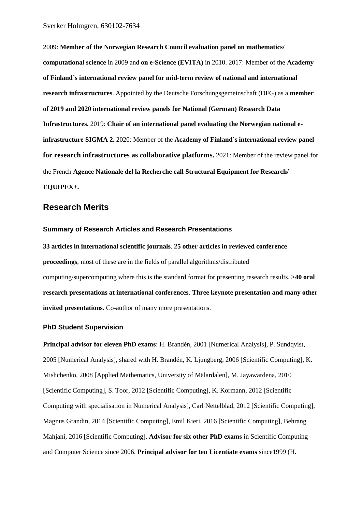2009: **Member of the Norwegian Research Council evaluation panel on mathematics/ computational science** in 2009 and **on e-Science (EVITA)** in 2010. 2017: Member of the **Academy of Finland´s international review panel for mid-term review of national and international research infrastructures**. Appointed by the Deutsche Forschungsgemeinschaft (DFG) as a **member of 2019 and 2020 international review panels for National (German) Research Data Infrastructures.** 2019: **Chair of an international panel evaluating the Norwegian national einfrastructure SIGMA 2.** 2020: Member of the **Academy of Finland´s international review panel for research infrastructures as collaborative platforms.** 2021: Member of the review panel for the French **Agence Nationale del la Recherche call Structural Equipment for Research/ EQUIPEX+.**

## **Research Merits**

#### **Summary of Research Articles and Research Presentations**

**33 articles in international scientific journals**. **25 other articles in reviewed conference proceedings**, most of these are in the fields of parallel algorithms/distributed computing/supercomputing where this is the standard format for presenting research results. **>40 oral research presentations at international conferences**. **Three keynote presentation and many other invited presentations**. Co-author of many more presentations.

#### **PhD Student Supervision**

**Principal advisor for eleven PhD exams**: H. Brandén, 2001 [Numerical Analysis], P. Sundqvist, 2005 [Numerical Analysis], shared with H. Brandén, K. Ljungberg, 2006 [Scientific Computing], K. Mishchenko, 2008 [Applied Mathematics, University of Mälardalen], M. Jayawardena, 2010 [Scientific Computing], S. Toor, 2012 [Scientific Computing], K. Kormann, 2012 [Scientific Computing with specialisation in Numerical Analysis], Carl Nettelblad, 2012 [Scientific Computing], Magnus Grandin, 2014 [Scientific Computing], Emil Kieri, 2016 [Scientific Computing], Behrang Mahjani, 2016 [Scientific Computing]. **Advisor for six other PhD exams** in Scientific Computing and Computer Science since 2006. **Principal advisor for ten Licentiate exams** since1999 (H.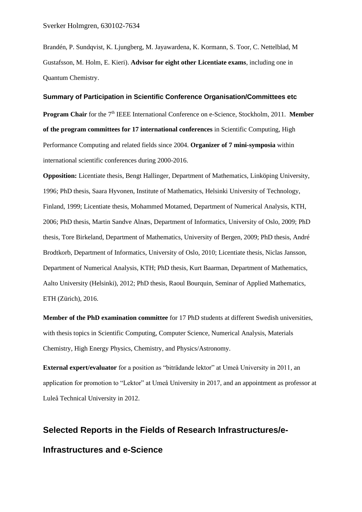Brandén, P. Sundqvist, K. Ljungberg, M. Jayawardena, K. Kormann, S. Toor, C. Nettelblad, M Gustafsson, M. Holm, E. Kieri). **Advisor for eight other Licentiate exams**, including one in Quantum Chemistry.

#### **Summary of Participation in Scientific Conference Organisation/Committees etc**

**Program Chair** for the 7<sup>th</sup> IEEE International Conference on e-Science, Stockholm, 2011. **Member of the program committees for 17 international conferences** in Scientific Computing, High Performance Computing and related fields since 2004. **Organizer of 7 mini-symposia** within international scientific conferences during 2000-2016.

**Opposition:** Licentiate thesis, Bengt Hallinger, Department of Mathematics, Linköping University, 1996; PhD thesis, Saara Hyvonen, Institute of Mathematics, Helsinki University of Technology, Finland, 1999; Licentiate thesis, Mohammed Motamed, Department of Numerical Analysis, KTH, 2006; PhD thesis, Martin Sandve Alnæs, Department of Informatics, University of Oslo, 2009; PhD thesis, Tore Birkeland, Department of Mathematics, University of Bergen, 2009; PhD thesis, André Brodtkorb, Department of Informatics, University of Oslo, 2010; Licentiate thesis, Niclas Jansson, Department of Numerical Analysis, KTH; PhD thesis, Kurt Baarman, Department of Mathematics, Aalto University (Helsinki), 2012; PhD thesis, Raoul Bourquin, Seminar of Applied Mathematics, ETH (Zürich), 2016.

**Member of the PhD examination committee** for 17 PhD students at different Swedish universities, with thesis topics in Scientific Computing, Computer Science, Numerical Analysis, Materials Chemistry, High Energy Physics, Chemistry, and Physics/Astronomy.

**External expert/evaluator** for a position as "biträdande lektor" at Umeå University in 2011, an application for promotion to "Lektor" at Umeå University in 2017, and an appointment as professor at Luleå Technical University in 2012.

# **Selected Reports in the Fields of Research Infrastructures/e-**

# **Infrastructures and e-Science**